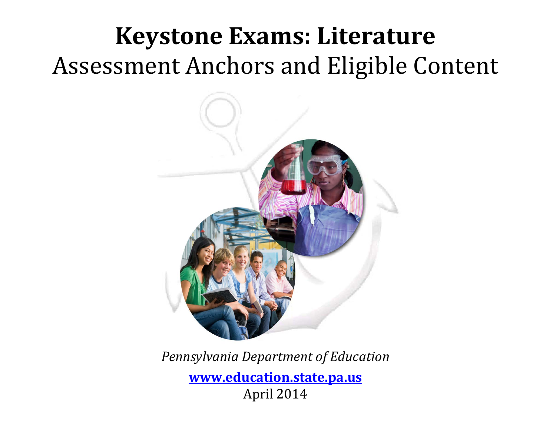# **Keystone Exams: Literature** Assessment Anchors and Eligible Content



*Pennsylvania Department of Education* **[www.education.state.pa.us](http://www.education.state.pa.us/)** April 2014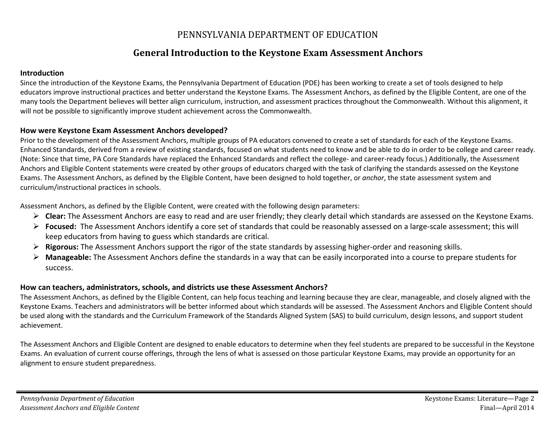### PENNSYLVANIA DEPARTMENT OF EDUCATION

### **General Introduction to the Keystone Exam Assessment Anchors**

### **Introduction**

Since the introduction of the Keystone Exams, the Pennsylvania Department of Education (PDE) has been working to create a set of tools designed to help educators improve instructional practices and better understand the Keystone Exams. The Assessment Anchors, as defined by the Eligible Content, are one of the many tools the Department believes will better align curriculum, instruction, and assessment practices throughout the Commonwealth. Without this alignment, it will not be possible to significantly improve student achievement across the Commonwealth.

### **How were Keystone Exam Assessment Anchors developed?**

Prior to the development of the Assessment Anchors, multiple groups of PA educators convened to create a set of standards for each of the Keystone Exams. Enhanced Standards, derived from a review of existing standards, focused on what students need to know and be able to do in order to be college and career ready. (Note: Since that time, PA Core Standards have replaced the Enhanced Standards and reflect the college- and career-ready focus.) Additionally, the Assessment Anchors and Eligible Content statements were created by other groups of educators charged with the task of clarifying the standards assessed on the Keystone Exams. The Assessment Anchors, as defined by the Eligible Content, have been designed to hold together, or *anchor*, the state assessment system and curriculum/instructional practices in schools.

Assessment Anchors, as defined by the Eligible Content, were created with the following design parameters:

- **Clear:** The Assessment Anchors are easy to read and are user friendly; they clearly detail which standards are assessed on the Keystone Exams.
- **Focused:** The Assessment Anchors identify a core set of standards that could be reasonably assessed on a large-scale assessment; this will keep educators from having to guess which standards are critical.
- **Rigorous:** The Assessment Anchors support the rigor of the state standards by assessing higher-order and reasoning skills.
- **Manageable:** The Assessment Anchors define the standards in a way that can be easily incorporated into a course to prepare students for success.

### **How can teachers, administrators, schools, and districts use these Assessment Anchors?**

The Assessment Anchors, as defined by the Eligible Content, can help focus teaching and learning because they are clear, manageable, and closely aligned with the Keystone Exams. Teachers and administrators will be better informed about which standards will be assessed. The Assessment Anchors and Eligible Content should be used along with the standards and the Curriculum Framework of the Standards Aligned System (SAS) to build curriculum, design lessons, and support student achievement.

The Assessment Anchors and Eligible Content are designed to enable educators to determine when they feel students are prepared to be successful in the Keystone Exams. An evaluation of current course offerings, through the lens of what is assessed on those particular Keystone Exams, may provide an opportunity for an alignment to ensure student preparedness.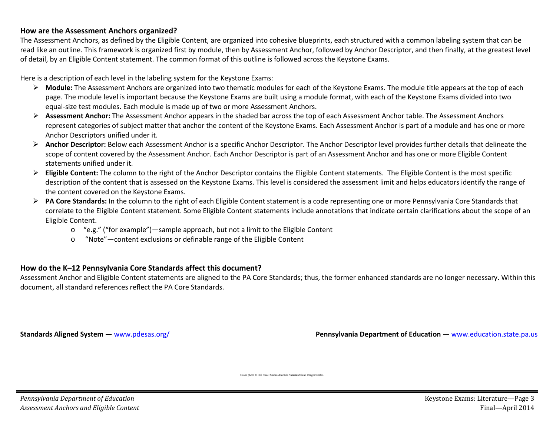### **How are the Assessment Anchors organized?**

The Assessment Anchors, as defined by the Eligible Content, are organized into cohesive blueprints, each structured with a common labeling system that can be read like an outline. This framework is organized first by module, then by Assessment Anchor, followed by Anchor Descriptor, and then finally, at the greatest level of detail, by an Eligible Content statement. The common format of this outline is followed across the Keystone Exams.

Here is a description of each level in the labeling system for the Keystone Exams:

- **Module:** The Assessment Anchors are organized into two thematic modules for each of the Keystone Exams. The module title appears at the top of each page. The module level is important because the Keystone Exams are built using a module format, with each of the Keystone Exams divided into two equal-size test modules. Each module is made up of two or more Assessment Anchors.
- **Assessment Anchor:** The Assessment Anchor appears in the shaded bar across the top of each Assessment Anchor table. The Assessment Anchors represent categories of subject matter that anchor the content of the Keystone Exams. Each Assessment Anchor is part of a module and has one or more Anchor Descriptors unified under it.
- **Anchor Descriptor:** Below each Assessment Anchor is a specific Anchor Descriptor. The Anchor Descriptor level provides further details that delineate the scope of content covered by the Assessment Anchor. Each Anchor Descriptor is part of an Assessment Anchor and has one or more Eligible Content statements unified under it.
- **Eligible Content:** The column to the right of the Anchor Descriptor contains the Eligible Content statements. The Eligible Content is the most specific description of the content that is assessed on the Keystone Exams. This level is considered the assessment limit and helps educators identify the range of the content covered on the Keystone Exams.
- **PA Core Standards:** In the column to the right of each Eligible Content statement is a code representing one or more Pennsylvania Core Standards that correlate to the Eligible Content statement. Some Eligible Content statements include annotations that indicate certain clarifications about the scope of an Eligible Content.
	- o "e.g." ("for example")—sample approach, but not a limit to the Eligible Content
	- o "Note"—content exclusions or definable range of the Eligible Content

### **How do the K–12 Pennsylvania Core Standards affect this document?**

Assessment Anchor and Eligible Content statements are aligned to the PA Core Standards; thus, the former enhanced standards are no longer necessary. Within this document, all standard references reflect the PA Core Standards.

**Standards Aligned System —** [www.pdesas.org/](http://www.pdesas.org/) **Pennsylvania Department of Education — www.e**ducation.state.pa.us

Cover photo © Hill Street Studios/Harmik Nazarian/Blend Images/Corbis.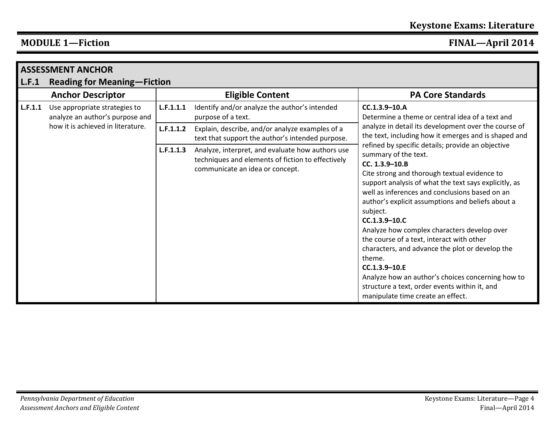|         | <b>ASSESSMENT ANCHOR</b>                                         |           |                                                                                                                                          |                                                                                                                                                                                                                                                                                                                                                                                                                                                                                                                                                                                                                                                                       |
|---------|------------------------------------------------------------------|-----------|------------------------------------------------------------------------------------------------------------------------------------------|-----------------------------------------------------------------------------------------------------------------------------------------------------------------------------------------------------------------------------------------------------------------------------------------------------------------------------------------------------------------------------------------------------------------------------------------------------------------------------------------------------------------------------------------------------------------------------------------------------------------------------------------------------------------------|
| L.F.1   | <b>Reading for Meaning–Fiction</b>                               |           |                                                                                                                                          |                                                                                                                                                                                                                                                                                                                                                                                                                                                                                                                                                                                                                                                                       |
|         | <b>Anchor Descriptor</b>                                         |           | <b>Eligible Content</b>                                                                                                                  | <b>PA Core Standards</b>                                                                                                                                                                                                                                                                                                                                                                                                                                                                                                                                                                                                                                              |
| L.F.1.1 | Use appropriate strategies to<br>analyze an author's purpose and | L.F.1.1.1 | Identify and/or analyze the author's intended<br>purpose of a text.                                                                      | CC.1.3.9-10.A<br>Determine a theme or central idea of a text and                                                                                                                                                                                                                                                                                                                                                                                                                                                                                                                                                                                                      |
|         | how it is achieved in literature.                                | L.F.1.1.2 | Explain, describe, and/or analyze examples of a<br>text that support the author's intended purpose.                                      | analyze in detail its development over the course of<br>the text, including how it emerges and is shaped and                                                                                                                                                                                                                                                                                                                                                                                                                                                                                                                                                          |
|         |                                                                  | L.F.1.1.3 | Analyze, interpret, and evaluate how authors use<br>techniques and elements of fiction to effectively<br>communicate an idea or concept. | refined by specific details; provide an objective<br>summary of the text.<br>CC. 1.3.9-10.B<br>Cite strong and thorough textual evidence to<br>support analysis of what the text says explicitly, as<br>well as inferences and conclusions based on an<br>author's explicit assumptions and beliefs about a<br>subject.<br>$CC.1.3.9 - 10.0$<br>Analyze how complex characters develop over<br>the course of a text, interact with other<br>characters, and advance the plot or develop the<br>theme.<br>$CC.1.3.9 - 10.E$<br>Analyze how an author's choices concerning how to<br>structure a text, order events within it, and<br>manipulate time create an effect. |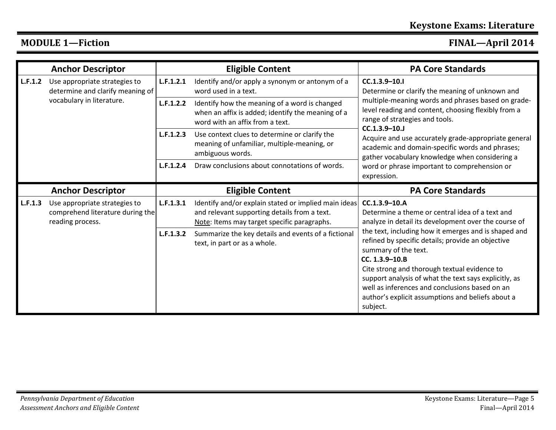|         | <b>Anchor Descriptor</b>                                                              |           | <b>Eligible Content</b>                                                                                                                             | <b>PA Core Standards</b>                                                                                                                                                                                                                                                                                       |
|---------|---------------------------------------------------------------------------------------|-----------|-----------------------------------------------------------------------------------------------------------------------------------------------------|----------------------------------------------------------------------------------------------------------------------------------------------------------------------------------------------------------------------------------------------------------------------------------------------------------------|
| L.F.1.2 | Use appropriate strategies to<br>determine and clarify meaning of                     | L.F.1.2.1 | Identify and/or apply a synonym or antonym of a<br>word used in a text.                                                                             | $CC.1.3.9 - 10.1$<br>Determine or clarify the meaning of unknown and                                                                                                                                                                                                                                           |
|         | vocabulary in literature.                                                             | L.F.1.2.2 | Identify how the meaning of a word is changed<br>when an affix is added; identify the meaning of a<br>word with an affix from a text.               | multiple-meaning words and phrases based on grade-<br>level reading and content, choosing flexibly from a<br>range of strategies and tools.                                                                                                                                                                    |
|         |                                                                                       | L.F.1.2.3 | Use context clues to determine or clarify the<br>meaning of unfamiliar, multiple-meaning, or<br>ambiguous words.                                    | $CC.1.3.9 - 10.1$<br>Acquire and use accurately grade-appropriate general<br>academic and domain-specific words and phrases;<br>gather vocabulary knowledge when considering a                                                                                                                                 |
|         |                                                                                       | L.F.1.2.4 | Draw conclusions about connotations of words.                                                                                                       | word or phrase important to comprehension or<br>expression.                                                                                                                                                                                                                                                    |
|         | <b>Anchor Descriptor</b>                                                              |           | <b>Eligible Content</b>                                                                                                                             | <b>PA Core Standards</b>                                                                                                                                                                                                                                                                                       |
| L.F.1.3 | Use appropriate strategies to<br>comprehend literature during the<br>reading process. | L.F.1.3.1 | Identify and/or explain stated or implied main ideas<br>and relevant supporting details from a text.<br>Note: Items may target specific paragraphs. | CC.1.3.9-10.A<br>Determine a theme or central idea of a text and<br>analyze in detail its development over the course of                                                                                                                                                                                       |
|         |                                                                                       | L.F.1.3.2 | Summarize the key details and events of a fictional<br>text, in part or as a whole.                                                                 | the text, including how it emerges and is shaped and<br>refined by specific details; provide an objective<br>summary of the text.<br>CC. 1.3.9-10.B<br>Cite strong and thorough textual evidence to<br>support analysis of what the text says explicitly, as<br>well as inferences and conclusions based on an |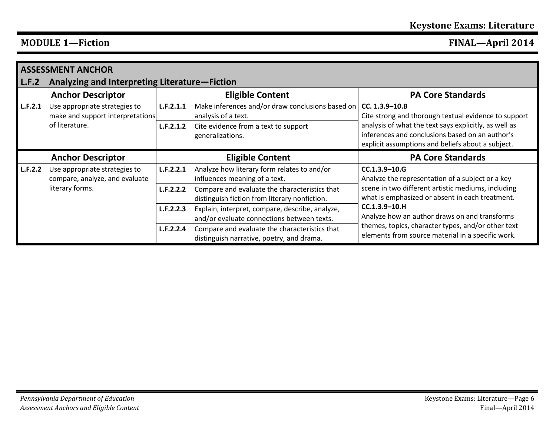|         | <b>ASSESSMENT ANCHOR</b>                                          |           |                                                                                                |                                                                                                                                                               |
|---------|-------------------------------------------------------------------|-----------|------------------------------------------------------------------------------------------------|---------------------------------------------------------------------------------------------------------------------------------------------------------------|
| L.F.2   | Analyzing and Interpreting Literature-Fiction                     |           |                                                                                                |                                                                                                                                                               |
|         | <b>Anchor Descriptor</b>                                          |           | <b>Eligible Content</b>                                                                        | <b>PA Core Standards</b>                                                                                                                                      |
| L.F.2.1 | Use appropriate strategies to<br>make and support interpretations | L.F.2.1.1 | Make inferences and/or draw conclusions based on<br>analysis of a text.                        | CC. 1.3.9-10.B<br>Cite strong and thorough textual evidence to support                                                                                        |
|         | of literature.                                                    | L.F.2.1.2 | Cite evidence from a text to support<br>generalizations.                                       | analysis of what the text says explicitly, as well as<br>inferences and conclusions based on an author's<br>explicit assumptions and beliefs about a subject. |
|         |                                                                   |           |                                                                                                |                                                                                                                                                               |
|         | <b>Anchor Descriptor</b>                                          |           | <b>Eligible Content</b>                                                                        | <b>PA Core Standards</b>                                                                                                                                      |
| L.F.2.2 | Use appropriate strategies to<br>compare, analyze, and evaluate   | L.F.2.2.1 | Analyze how literary form relates to and/or<br>influences meaning of a text.                   | $CC.1.3.9 - 10.G$<br>Analyze the representation of a subject or a key                                                                                         |
|         | literary forms.                                                   | L.F.2.2.2 | Compare and evaluate the characteristics that<br>distinguish fiction from literary nonfiction. | scene in two different artistic mediums, including<br>what is emphasized or absent in each treatment.                                                         |
|         |                                                                   | L.F.2.2.3 | Explain, interpret, compare, describe, analyze,<br>and/or evaluate connections between texts.  | $CC.1.3.9 - 10.H$<br>Analyze how an author draws on and transforms<br>themes, topics, character types, and/or other text                                      |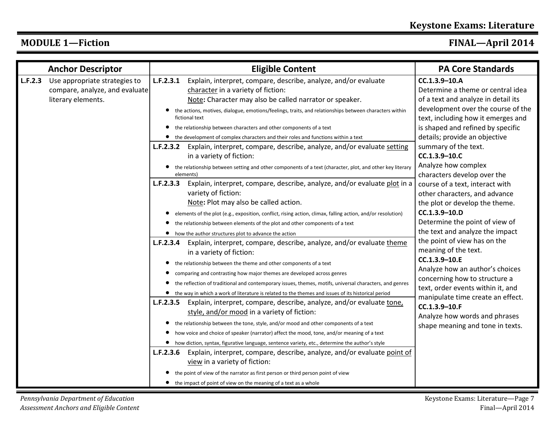|  |  | <b>MODULE 1—Fiction</b> |
|--|--|-------------------------|
|--|--|-------------------------|

| L.F.2.3<br>Use appropriate strategies to<br>compare, analyze, and evaluate<br>literary elements. | Explain, interpret, compare, describe, analyze, and/or evaluate<br>L.F.2.3.1<br>character in a variety of fiction:<br>Note: Character may also be called narrator or speaker.<br>the actions, motives, dialogue, emotions/feelings, traits, and relationships between characters within<br>fictional text<br>the relationship between characters and other components of a text<br>• the development of complex characters and their roles and functions within a text                                                                                                                                                                   | CC.1.3.9-10.A<br>Determine a theme or central idea<br>of a text and analyze in detail its<br>development over the course of the<br>text, including how it emerges and<br>is shaped and refined by specific               |
|--------------------------------------------------------------------------------------------------|------------------------------------------------------------------------------------------------------------------------------------------------------------------------------------------------------------------------------------------------------------------------------------------------------------------------------------------------------------------------------------------------------------------------------------------------------------------------------------------------------------------------------------------------------------------------------------------------------------------------------------------|--------------------------------------------------------------------------------------------------------------------------------------------------------------------------------------------------------------------------|
|                                                                                                  |                                                                                                                                                                                                                                                                                                                                                                                                                                                                                                                                                                                                                                          |                                                                                                                                                                                                                          |
|                                                                                                  | <b>L.F.2.3.2</b> Explain, interpret, compare, describe, analyze, and/or evaluate setting<br>in a variety of fiction:<br>the relationship between setting and other components of a text (character, plot, and other key literary<br>elements)                                                                                                                                                                                                                                                                                                                                                                                            | details; provide an objective<br>summary of the text.<br>CC.1.3.9-10.C<br>Analyze how complex<br>characters develop over the                                                                                             |
|                                                                                                  | Explain, interpret, compare, describe, analyze, and/or evaluate plot in a<br>L.F.2.3.3<br>variety of fiction:<br>Note: Plot may also be called action.<br>elements of the plot (e.g., exposition, conflict, rising action, climax, falling action, and/or resolution)<br>$\bullet$<br>the relationship between elements of the plot and other components of a text<br>• how the author structures plot to advance the action                                                                                                                                                                                                             | course of a text, interact with<br>other characters, and advance<br>the plot or develop the theme.<br>CC.1.3.9-10.D<br>Determine the point of view of<br>the text and analyze the impact<br>the point of view has on the |
|                                                                                                  | Explain, interpret, compare, describe, analyze, and/or evaluate theme<br>L.F.2.3.4<br>in a variety of fiction:<br>the relationship between the theme and other components of a text<br>$\bullet$<br>comparing and contrasting how major themes are developed across genres<br>$\bullet$<br>the reflection of traditional and contemporary issues, themes, motifs, universal characters, and genres<br>$\bullet$<br>• the way in which a work of literature is related to the themes and issues of its historical period                                                                                                                  | meaning of the text.<br>$CC.1.3.9 - 10.E$<br>Analyze how an author's choices<br>concerning how to structure a<br>text, order events within it, and<br>manipulate time create an effect.                                  |
|                                                                                                  | Explain, interpret, compare, describe, analyze, and/or evaluate tone,<br>L.F.2.3.5<br>style, and/or mood in a variety of fiction:<br>the relationship between the tone, style, and/or mood and other components of a text<br>how voice and choice of speaker (narrator) affect the mood, tone, and/or meaning of a text<br>• how diction, syntax, figurative language, sentence variety, etc., determine the author's style<br>Explain, interpret, compare, describe, analyze, and/or evaluate point of<br>L.F.2.3.6<br>view in a variety of fiction:<br>the point of view of the narrator as first person or third person point of view | CC.1.3.9-10.F<br>Analyze how words and phrases<br>shape meaning and tone in texts.                                                                                                                                       |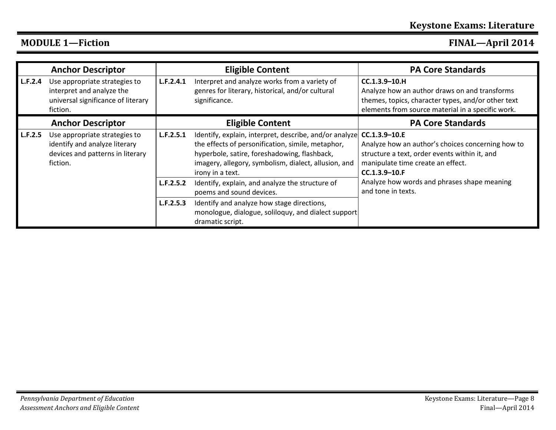|         | <b>Anchor Descriptor</b>                                                                                       |           | <b>Eligible Content</b>                                                                                                                                                                                                                               | <b>PA Core Standards</b>                                                                                                                                                      |
|---------|----------------------------------------------------------------------------------------------------------------|-----------|-------------------------------------------------------------------------------------------------------------------------------------------------------------------------------------------------------------------------------------------------------|-------------------------------------------------------------------------------------------------------------------------------------------------------------------------------|
| L.F.2.4 | Use appropriate strategies to<br>interpret and analyze the<br>universal significance of literary<br>fiction.   | L.F.2.4.1 | Interpret and analyze works from a variety of<br>genres for literary, historical, and/or cultural<br>significance.                                                                                                                                    | $CC.1.3.9 - 10.H$<br>Analyze how an author draws on and transforms<br>themes, topics, character types, and/or other text<br>elements from source material in a specific work. |
|         | <b>Anchor Descriptor</b>                                                                                       |           | <b>Eligible Content</b>                                                                                                                                                                                                                               | <b>PA Core Standards</b>                                                                                                                                                      |
| L.F.2.5 | Use appropriate strategies to<br>identify and analyze literary<br>devices and patterns in literary<br>fiction. | L.F.2.5.1 | Identify, explain, interpret, describe, and/or analyze CC.1.3.9-10.E<br>the effects of personification, simile, metaphor,<br>hyperbole, satire, foreshadowing, flashback,<br>imagery, allegory, symbolism, dialect, allusion, and<br>irony in a text. | Analyze how an author's choices concerning how to<br>structure a text, order events within it, and<br>manipulate time create an effect.<br>$CC.1.3.9 - 10.F$                  |
|         |                                                                                                                | L.F.2.5.2 | Identify, explain, and analyze the structure of<br>poems and sound devices.                                                                                                                                                                           | Analyze how words and phrases shape meaning<br>and tone in texts.                                                                                                             |
|         |                                                                                                                | L.F.2.5.3 | Identify and analyze how stage directions,<br>monologue, dialogue, soliloquy, and dialect support<br>dramatic script.                                                                                                                                 |                                                                                                                                                                               |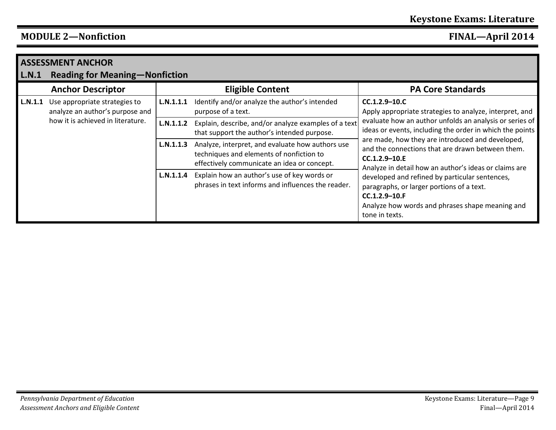|         | <b>ASSESSMENT ANCHOR</b>                                         |           |                                                                                                                                             |                                                                                                                                                                                    |
|---------|------------------------------------------------------------------|-----------|---------------------------------------------------------------------------------------------------------------------------------------------|------------------------------------------------------------------------------------------------------------------------------------------------------------------------------------|
| L.N.1   | <b>Reading for Meaning-Nonfiction</b>                            |           |                                                                                                                                             |                                                                                                                                                                                    |
|         | <b>Anchor Descriptor</b>                                         |           | <b>Eligible Content</b>                                                                                                                     | <b>PA Core Standards</b>                                                                                                                                                           |
| L.N.1.1 | Use appropriate strategies to<br>analyze an author's purpose and | L.N.1.1.1 | Identify and/or analyze the author's intended<br>purpose of a text.                                                                         | $CC.1.2.9 - 10.0$<br>Apply appropriate strategies to analyze, interpret, and                                                                                                       |
|         | how it is achieved in literature.                                | L.N.1.1.2 | Explain, describe, and/or analyze examples of a text<br>that support the author's intended purpose.                                         | evaluate how an author unfolds an analysis or series of<br>ideas or events, including the order in which the points                                                                |
|         |                                                                  | L.N.1.1.3 | Analyze, interpret, and evaluate how authors use<br>techniques and elements of nonfiction to<br>effectively communicate an idea or concept. | are made, how they are introduced and developed,<br>and the connections that are drawn between them.<br>$CC.1.2.9 - 10.E$<br>Analyze in detail how an author's ideas or claims are |
|         |                                                                  | L.N.1.1.4 | Explain how an author's use of key words or<br>phrases in text informs and influences the reader.                                           | developed and refined by particular sentences,<br>paragraphs, or larger portions of a text.<br>CC.1.2.9-10.F<br>Analyze how words and phrases shape meaning and<br>tone in texts.  |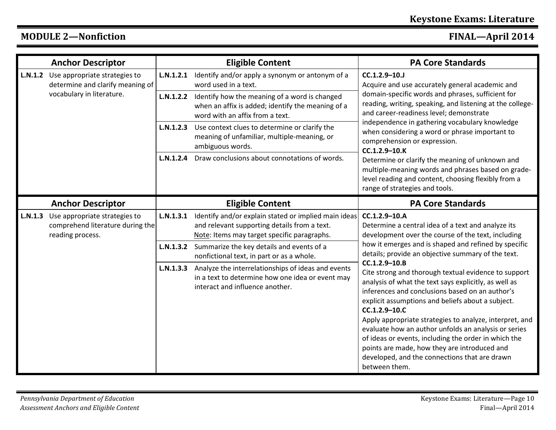|         | <b>Anchor Descriptor</b>                                                              |           | <b>Eligible Content</b>                                                                                                                             | <b>PA Core Standards</b>                                                                                                                                                                                                                                                                                                                                                                                                                                                                                                                             |
|---------|---------------------------------------------------------------------------------------|-----------|-----------------------------------------------------------------------------------------------------------------------------------------------------|------------------------------------------------------------------------------------------------------------------------------------------------------------------------------------------------------------------------------------------------------------------------------------------------------------------------------------------------------------------------------------------------------------------------------------------------------------------------------------------------------------------------------------------------------|
| L.N.1.2 | Use appropriate strategies to<br>determine and clarify meaning of                     | L.N.1.2.1 | Identify and/or apply a synonym or antonym of a<br>word used in a text.                                                                             | CC.1.2.9-10.J<br>Acquire and use accurately general academic and                                                                                                                                                                                                                                                                                                                                                                                                                                                                                     |
|         | vocabulary in literature.                                                             | L.N.1.2.2 | Identify how the meaning of a word is changed<br>when an affix is added; identify the meaning of a<br>word with an affix from a text.               | domain-specific words and phrases, sufficient for<br>reading, writing, speaking, and listening at the college-<br>and career-readiness level; demonstrate                                                                                                                                                                                                                                                                                                                                                                                            |
|         |                                                                                       |           | L.N.1.2.3 Use context clues to determine or clarify the<br>meaning of unfamiliar, multiple-meaning, or<br>ambiguous words.                          | independence in gathering vocabulary knowledge<br>when considering a word or phrase important to<br>comprehension or expression.<br>CC.1.2.9-10.K                                                                                                                                                                                                                                                                                                                                                                                                    |
|         |                                                                                       |           | <b>L.N.1.2.4</b> Draw conclusions about connotations of words.                                                                                      | Determine or clarify the meaning of unknown and<br>multiple-meaning words and phrases based on grade-<br>level reading and content, choosing flexibly from a<br>range of strategies and tools.                                                                                                                                                                                                                                                                                                                                                       |
|         | <b>Anchor Descriptor</b>                                                              |           | <b>Eligible Content</b>                                                                                                                             | <b>PA Core Standards</b>                                                                                                                                                                                                                                                                                                                                                                                                                                                                                                                             |
| L.N.1.3 | Use appropriate strategies to<br>comprehend literature during the<br>reading process. | L.N.1.3.1 | Identify and/or explain stated or implied main ideas<br>and relevant supporting details from a text.<br>Note: Items may target specific paragraphs. | CC.1.2.9-10.A<br>Determine a central idea of a text and analyze its<br>development over the course of the text, including                                                                                                                                                                                                                                                                                                                                                                                                                            |
|         |                                                                                       | L.N.1.3.2 | Summarize the key details and events of a<br>nonfictional text, in part or as a whole.                                                              | how it emerges and is shaped and refined by specific<br>details; provide an objective summary of the text.                                                                                                                                                                                                                                                                                                                                                                                                                                           |
|         |                                                                                       | L.N.1.3.3 | Analyze the interrelationships of ideas and events<br>in a text to determine how one idea or event may<br>interact and influence another.           | CC.1.2.9-10.B<br>Cite strong and thorough textual evidence to support<br>analysis of what the text says explicitly, as well as<br>inferences and conclusions based on an author's<br>explicit assumptions and beliefs about a subject.<br>CC.1.2.9-10.C<br>Apply appropriate strategies to analyze, interpret, and<br>evaluate how an author unfolds an analysis or series<br>of ideas or events, including the order in which the<br>points are made, how they are introduced and<br>developed, and the connections that are drawn<br>between them. |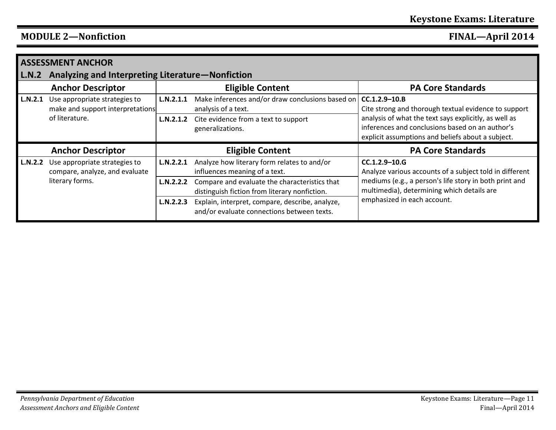|                | <b>ASSESSMENT ANCHOR</b>                                          |           |                                                                                                |                                                                                                                                                               |
|----------------|-------------------------------------------------------------------|-----------|------------------------------------------------------------------------------------------------|---------------------------------------------------------------------------------------------------------------------------------------------------------------|
| L.N.2          | Analyzing and Interpreting Literature-Nonfiction                  |           |                                                                                                |                                                                                                                                                               |
|                | <b>Anchor Descriptor</b>                                          |           | <b>Eligible Content</b>                                                                        | <b>PA Core Standards</b>                                                                                                                                      |
| L.N.2.1        | Use appropriate strategies to<br>make and support interpretations | L.N.2.1.1 | Make inferences and/or draw conclusions based on<br>analysis of a text.                        | $CC.1.2.9 - 10.8$<br>Cite strong and thorough textual evidence to support                                                                                     |
|                | of literature.                                                    | L.N.2.1.2 | Cite evidence from a text to support<br>generalizations.                                       | analysis of what the text says explicitly, as well as<br>inferences and conclusions based on an author's<br>explicit assumptions and beliefs about a subject. |
|                | <b>Anchor Descriptor</b>                                          |           | <b>Eligible Content</b>                                                                        | <b>PA Core Standards</b>                                                                                                                                      |
| <b>L.N.2.2</b> | Use appropriate strategies to<br>compare, analyze, and evaluate   | L.N.2.2.1 | Analyze how literary form relates to and/or<br>influences meaning of a text.                   | $CC.1.2.9 - 10.6$<br>Analyze various accounts of a subject told in different                                                                                  |
|                | literary forms.                                                   | L.N.2.2.2 | Compare and evaluate the characteristics that<br>distinguish fiction from literary nonfiction. | mediums (e.g., a person's life story in both print and<br>multimedia), determining which details are                                                          |
|                |                                                                   | L.N.2.2.3 | Explain, interpret, compare, describe, analyze,<br>and/or evaluate connections between texts.  | emphasized in each account.                                                                                                                                   |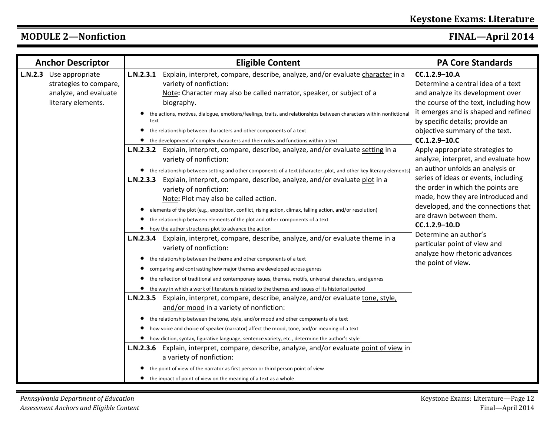|         | <b>Anchor Descriptor</b>                                                                 |                   | <b>Eligible Content</b>                                                                                                                                                                                                                                                                                                                                                                                                                                                                                                                                                                                                                                                                                                                                                                                                                                                                                                                                                                                                                                                                                                                                                                                                                                                                                                                           | <b>PA Core Standards</b>                                                                                                                                                                                                                                                                                                                                                                                                                                                                                                                                                                                                                                                     |
|---------|------------------------------------------------------------------------------------------|-------------------|---------------------------------------------------------------------------------------------------------------------------------------------------------------------------------------------------------------------------------------------------------------------------------------------------------------------------------------------------------------------------------------------------------------------------------------------------------------------------------------------------------------------------------------------------------------------------------------------------------------------------------------------------------------------------------------------------------------------------------------------------------------------------------------------------------------------------------------------------------------------------------------------------------------------------------------------------------------------------------------------------------------------------------------------------------------------------------------------------------------------------------------------------------------------------------------------------------------------------------------------------------------------------------------------------------------------------------------------------|------------------------------------------------------------------------------------------------------------------------------------------------------------------------------------------------------------------------------------------------------------------------------------------------------------------------------------------------------------------------------------------------------------------------------------------------------------------------------------------------------------------------------------------------------------------------------------------------------------------------------------------------------------------------------|
| L.N.2.3 | Use appropriate<br>strategies to compare,<br>analyze, and evaluate<br>literary elements. | text<br>$\bullet$ | L.N.2.3.1 Explain, interpret, compare, describe, analyze, and/or evaluate character in a<br>variety of nonfiction:<br>Note: Character may also be called narrator, speaker, or subject of a<br>biography.<br>the actions, motives, dialogue, emotions/feelings, traits, and relationships between characters within nonfictional<br>the relationship between characters and other components of a text<br>• the development of complex characters and their roles and functions within a text<br>L.N.2.3.2 Explain, interpret, compare, describe, analyze, and/or evaluate setting in a<br>variety of nonfiction:<br>• the relationship between setting and other components of a text (character, plot, and other key literary elements)<br>L.N.2.3.3 Explain, interpret, compare, describe, analyze, and/or evaluate plot in a<br>variety of nonfiction:<br>Note: Plot may also be called action.<br>elements of the plot (e.g., exposition, conflict, rising action, climax, falling action, and/or resolution)<br>the relationship between elements of the plot and other components of a text<br>how the author structures plot to advance the action<br>L.N.2.3.4 Explain, interpret, compare, describe, analyze, and/or evaluate theme in a<br>variety of nonfiction:<br>the relationship between the theme and other components of a text | CC.1.2.9-10.A<br>Determine a central idea of a text<br>and analyze its development over<br>the course of the text, including how<br>it emerges and is shaped and refined<br>by specific details; provide an<br>objective summary of the text.<br>CC.1.2.9-10.C<br>Apply appropriate strategies to<br>analyze, interpret, and evaluate how<br>an author unfolds an analysis or<br>series of ideas or events, including<br>the order in which the points are<br>made, how they are introduced and<br>developed, and the connections that<br>are drawn between them.<br>CC.1.2.9-10.D<br>Determine an author's<br>particular point of view and<br>analyze how rhetoric advances |
|         |                                                                                          |                   | comparing and contrasting how major themes are developed across genres<br>the reflection of traditional and contemporary issues, themes, motifs, universal characters, and genres<br>• the way in which a work of literature is related to the themes and issues of its historical period<br>L.N.2.3.5 Explain, interpret, compare, describe, analyze, and/or evaluate tone, style,<br>and/or mood in a variety of nonfiction:<br>• the relationship between the tone, style, and/or mood and other components of a text<br>how voice and choice of speaker (narrator) affect the mood, tone, and/or meaning of a text<br>• how diction, syntax, figurative language, sentence variety, etc., determine the author's style<br>L.N.2.3.6 Explain, interpret, compare, describe, analyze, and/or evaluate point of view in<br>a variety of nonfiction:<br>the point of view of the narrator as first person or third person point of view<br>• the impact of point of view on the meaning of a text as a whole                                                                                                                                                                                                                                                                                                                                      | the point of view.                                                                                                                                                                                                                                                                                                                                                                                                                                                                                                                                                                                                                                                           |